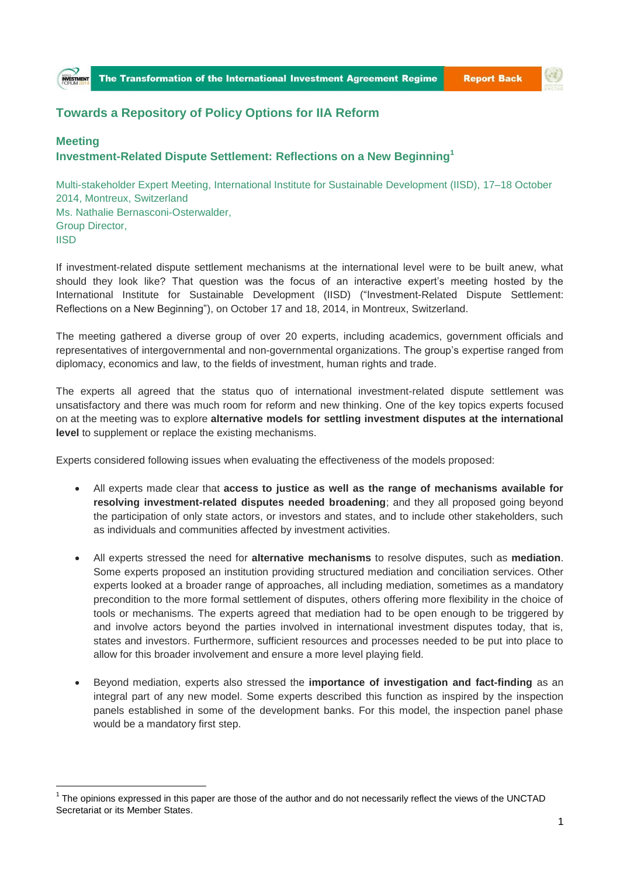## **Towards a Repository of Policy Options for IIA Reform**

## **Meeting Investment-Related Dispute Settlement: Reflections on a New Beginning<sup>1</sup>**

Group Director,

 $\overline{a}$ 

## Multi-stakeholder Expert Meeting, International Institute for Sustainable Development (IISD), 17–18 October 2014, Montreux, Switzerland Ms. Nathalie Bernasconi-Osterwalder,

**IISD** If investment-related dispute settlement mechanisms at the international level were to be built anew, what should they look like? That question was the focus of an interactive expert's meeting hosted by the International Institute for Sustainable Development (IISD) ("Investment-Related Dispute Settlement:

Reflections on a New Beginning"), on October 17 and 18, 2014, in Montreux, Switzerland.

The meeting gathered a diverse group of over 20 experts, including academics, government officials and representatives of intergovernmental and non-governmental organizations. The group's expertise ranged from diplomacy, economics and law, to the fields of investment, human rights and trade.

The experts all agreed that the status quo of international investment-related dispute settlement was unsatisfactory and there was much room for reform and new thinking. One of the key topics experts focused on at the meeting was to explore **alternative models for settling investment disputes at the international level** to supplement or replace the existing mechanisms.

Experts considered following issues when evaluating the effectiveness of the models proposed:

- All experts made clear that **access to justice as well as the range of mechanisms available for resolving investment-related disputes needed broadening**; and they all proposed going beyond the participation of only state actors, or investors and states, and to include other stakeholders, such as individuals and communities affected by investment activities.
- All experts stressed the need for **alternative mechanisms** to resolve disputes, such as **mediation**. Some experts proposed an institution providing structured mediation and conciliation services. Other experts looked at a broader range of approaches, all including mediation, sometimes as a mandatory precondition to the more formal settlement of disputes, others offering more flexibility in the choice of tools or mechanisms. The experts agreed that mediation had to be open enough to be triggered by and involve actors beyond the parties involved in international investment disputes today, that is, states and investors. Furthermore, sufficient resources and processes needed to be put into place to allow for this broader involvement and ensure a more level playing field.
- Beyond mediation, experts also stressed the **importance of investigation and fact-finding** as an integral part of any new model. Some experts described this function as inspired by the inspection panels established in some of the development banks. For this model, the inspection panel phase would be a mandatory first step.

 $1$  The opinions expressed in this paper are those of the author and do not necessarily reflect the views of the UNCTAD Secretariat or its Member States.